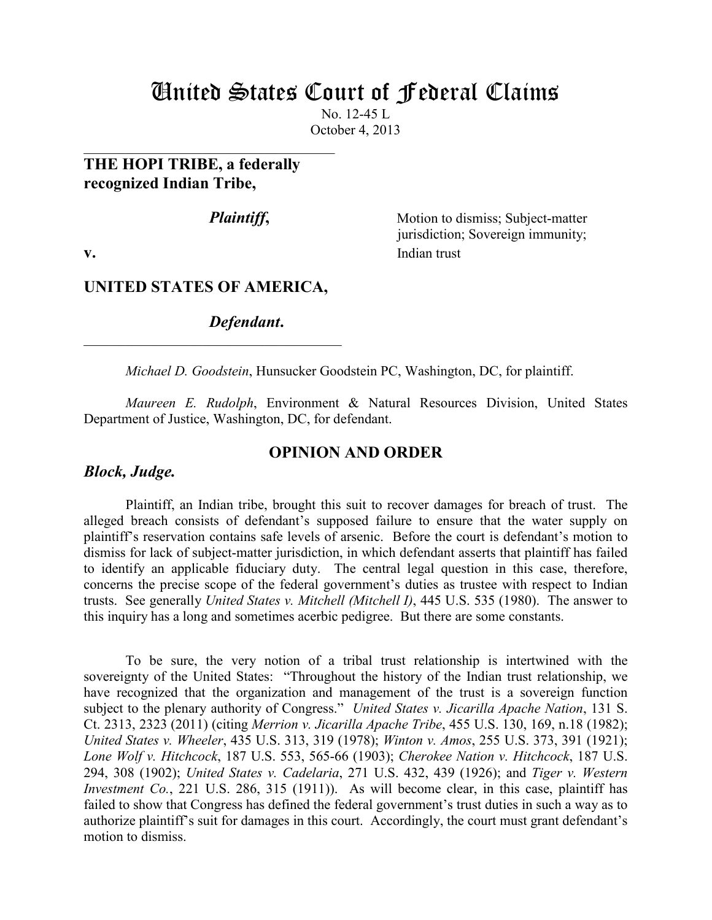# United States Court of Federal Claims

No. 12-45 L October 4, 2013

**THE HOPI TRIBE, a federally recognized Indian Tribe,**

 $\mathcal{L}_\mathcal{L}$  , which is a set of the set of the set of the set of the set of the set of the set of the set of the set of the set of the set of the set of the set of the set of the set of the set of the set of the set of

*Plaintiff*, Motion to dismiss; Subject-matter jurisdiction; Sovereign immunity; **v.** Indian trust

# **UNITED STATES OF AMERICA,**

 $\_$  . The contribution of the contribution of  $\mathcal{L}_\mathcal{A}$ 

*Defendant***.**

*Michael D. Goodstein*, Hunsucker Goodstein PC, Washington, DC, for plaintiff.

*Maureen E. Rudolph*, Environment & Natural Resources Division, United States Department of Justice, Washington, DC, for defendant.

# **OPINION AND ORDER**

# *Block, Judge.*

Plaintiff, an Indian tribe, brought this suit to recover damages for breach of trust. The alleged breach consists of defendant's supposed failure to ensure that the water supply on plaintiff's reservation contains safe levels of arsenic. Before the court is defendant's motion to dismiss for lack of subject-matter jurisdiction, in which defendant asserts that plaintiff has failed to identify an applicable fiduciary duty. The central legal question in this case, therefore, concerns the precise scope of the federal government's duties as trustee with respect to Indian trusts. See generally *United States v. Mitchell (Mitchell I)*, 445 U.S. 535 (1980). The answer to this inquiry has a long and sometimes acerbic pedigree. But there are some constants.

To be sure, the very notion of a tribal trust relationship is intertwined with the sovereignty of the United States: "Throughout the history of the Indian trust relationship, we have recognized that the organization and management of the trust is a sovereign function subject to the plenary authority of Congress." *United States v. Jicarilla Apache Nation*, 131 S. Ct. 2313, 2323 (2011) (citing *Merrion v. Jicarilla Apache Tribe*, 455 U.S. 130, 169, n.18 (1982); *United States v. Wheeler*, 435 U.S. 313, 319 (1978); *Winton v. Amos*, 255 U.S. 373, 391 (1921); *Lone Wolf v. Hitchcock*, 187 U.S. 553, 565-66 (1903); *Cherokee Nation v. Hitchcock*, 187 U.S. 294, 308 (1902); *United States v. Cadelaria*, 271 U.S. 432, 439 (1926); and *Tiger v. Western Investment Co.*, 221 U.S. 286, 315 (1911)). As will become clear, in this case, plaintiff has failed to show that Congress has defined the federal government's trust duties in such a way as to authorize plaintiff's suit for damages in this court. Accordingly, the court must grant defendant's motion to dismiss.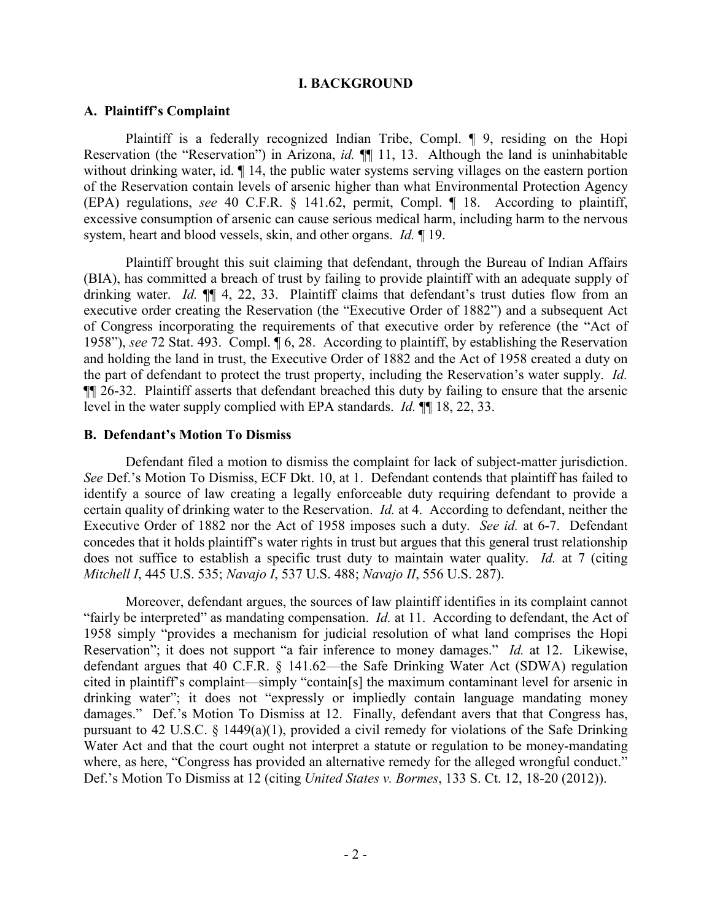## **I. BACKGROUND**

#### **A. Plaintiff's Complaint**

Plaintiff is a federally recognized Indian Tribe, Compl. ¶ 9, residing on the Hopi Reservation (the "Reservation") in Arizona, *id.* ¶¶ 11, 13. Although the land is uninhabitable without drinking water, id.  $\P$  14, the public water systems serving villages on the eastern portion of the Reservation contain levels of arsenic higher than what Environmental Protection Agency (EPA) regulations, *see* 40 C.F.R. § 141.62, permit, Compl. ¶ 18. According to plaintiff, excessive consumption of arsenic can cause serious medical harm, including harm to the nervous system, heart and blood vessels, skin, and other organs. *Id.* ¶ 19.

Plaintiff brought this suit claiming that defendant, through the Bureau of Indian Affairs (BIA), has committed a breach of trust by failing to provide plaintiff with an adequate supply of drinking water. *Id.* ¶¶ 4, 22, 33. Plaintiff claims that defendant's trust duties flow from an executive order creating the Reservation (the "Executive Order of 1882") and a subsequent Act of Congress incorporating the requirements of that executive order by reference (the "Act of 1958"), *see* 72 Stat. 493. Compl. ¶ 6, 28. According to plaintiff, by establishing the Reservation and holding the land in trust, the Executive Order of 1882 and the Act of 1958 created a duty on the part of defendant to protect the trust property, including the Reservation's water supply. *Id.* ¶¶ 26-32. Plaintiff asserts that defendant breached this duty by failing to ensure that the arsenic level in the water supply complied with EPA standards. *Id.* ¶¶ 18, 22, 33.

## **B. Defendant's Motion To Dismiss**

Defendant filed a motion to dismiss the complaint for lack of subject-matter jurisdiction. *See* Def.'s Motion To Dismiss, ECF Dkt. 10, at 1. Defendant contends that plaintiff has failed to identify a source of law creating a legally enforceable duty requiring defendant to provide a certain quality of drinking water to the Reservation. *Id.* at 4. According to defendant, neither the Executive Order of 1882 nor the Act of 1958 imposes such a duty. *See id.* at 6-7. Defendant concedes that it holds plaintiff's water rights in trust but argues that this general trust relationship does not suffice to establish a specific trust duty to maintain water quality. *Id.* at 7 (citing *Mitchell I*, 445 U.S. 535; *Navajo I*, 537 U.S. 488; *Navajo II*, 556 U.S. 287).

Moreover, defendant argues, the sources of law plaintiff identifies in its complaint cannot "fairly be interpreted" as mandating compensation. *Id.* at 11. According to defendant, the Act of 1958 simply "provides a mechanism for judicial resolution of what land comprises the Hopi Reservation"; it does not support "a fair inference to money damages." *Id.* at 12. Likewise, defendant argues that 40 C.F.R. § 141.62—the Safe Drinking Water Act (SDWA) regulation cited in plaintiff's complaint—simply "contain[s] the maximum contaminant level for arsenic in drinking water"; it does not "expressly or impliedly contain language mandating money damages." Def.'s Motion To Dismiss at 12. Finally, defendant avers that that Congress has, pursuant to 42 U.S.C. § 1449(a)(1), provided a civil remedy for violations of the Safe Drinking Water Act and that the court ought not interpret a statute or regulation to be money-mandating where, as here, "Congress has provided an alternative remedy for the alleged wrongful conduct." Def.'s Motion To Dismiss at 12 (citing *United States v. Bormes*, 133 S. Ct. 12, 18-20 (2012)).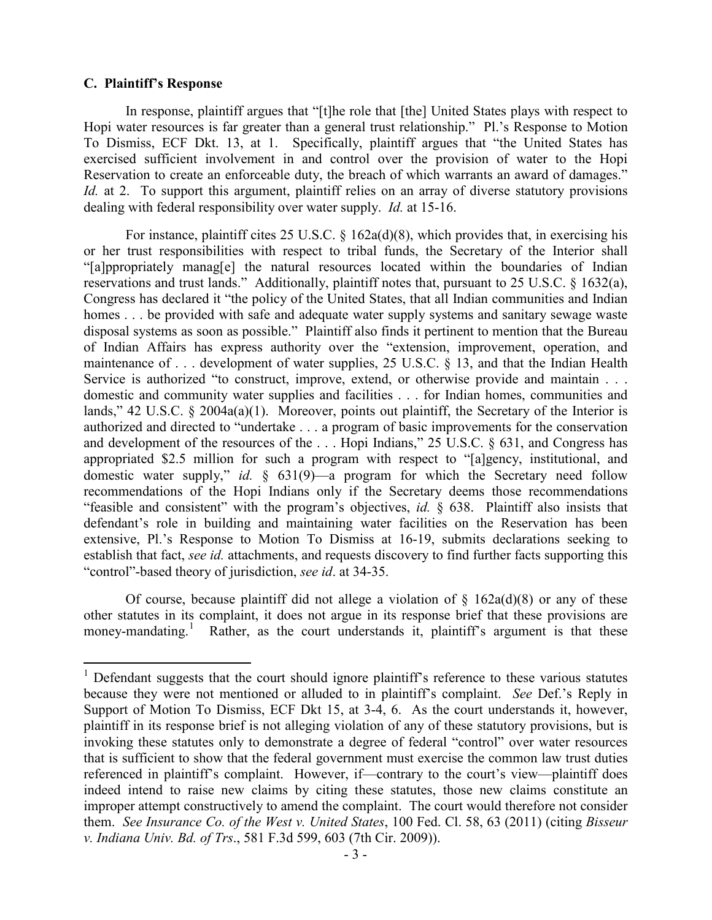### **C. Plaintiff's Response**

In response, plaintiff argues that "[t]he role that [the] United States plays with respect to Hopi water resources is far greater than a general trust relationship." Pl.'s Response to Motion To Dismiss, ECF Dkt. 13, at 1. Specifically, plaintiff argues that "the United States has exercised sufficient involvement in and control over the provision of water to the Hopi Reservation to create an enforceable duty, the breach of which warrants an award of damages." *Id.* at 2. To support this argument, plaintiff relies on an array of diverse statutory provisions dealing with federal responsibility over water supply. *Id.* at 15-16.

For instance, plaintiff cites 25 U.S.C. § 162a(d)(8), which provides that, in exercising his or her trust responsibilities with respect to tribal funds, the Secretary of the Interior shall "[a]ppropriately manag[e] the natural resources located within the boundaries of Indian reservations and trust lands." Additionally, plaintiff notes that, pursuant to 25 U.S.C. § 1632(a), Congress has declared it "the policy of the United States, that all Indian communities and Indian homes . . . be provided with safe and adequate water supply systems and sanitary sewage waste disposal systems as soon as possible." Plaintiff also finds it pertinent to mention that the Bureau of Indian Affairs has express authority over the "extension, improvement, operation, and maintenance of . . . development of water supplies, 25 U.S.C. § 13, and that the Indian Health Service is authorized "to construct, improve, extend, or otherwise provide and maintain . . . domestic and community water supplies and facilities . . . for Indian homes, communities and lands," 42 U.S.C. § 2004a(a)(1). Moreover, points out plaintiff, the Secretary of the Interior is authorized and directed to "undertake . . . a program of basic improvements for the conservation and development of the resources of the . . . Hopi Indians," 25 U.S.C. § 631, and Congress has appropriated \$2.5 million for such a program with respect to "[a]gency, institutional, and domestic water supply," *id.* § 631(9)—a program for which the Secretary need follow recommendations of the Hopi Indians only if the Secretary deems those recommendations "feasible and consistent" with the program's objectives, *id.* § 638. Plaintiff also insists that defendant's role in building and maintaining water facilities on the Reservation has been extensive, Pl.'s Response to Motion To Dismiss at 16-19, submits declarations seeking to establish that fact, *see id.* attachments, and requests discovery to find further facts supporting this "control"-based theory of jurisdiction, *see id*. at 34-35.

Of course, because plaintiff did not allege a violation of  $\S$  162a(d)(8) or any of these other statutes in its complaint, it does not argue in its response brief that these provisions are money-mandating.<sup>[1](#page-2-0)</sup> Rather, as the court understands it, plaintiff's argument is that these

<span id="page-2-0"></span><sup>&</sup>lt;sup>1</sup> Defendant suggests that the court should ignore plaintiff's reference to these various statutes because they were not mentioned or alluded to in plaintiff's complaint. *See* Def.'s Reply in Support of Motion To Dismiss, ECF Dkt 15, at 3-4, 6. As the court understands it, however, plaintiff in its response brief is not alleging violation of any of these statutory provisions, but is invoking these statutes only to demonstrate a degree of federal "control" over water resources that is sufficient to show that the federal government must exercise the common law trust duties referenced in plaintiff's complaint. However, if—contrary to the court's view—plaintiff does indeed intend to raise new claims by citing these statutes, those new claims constitute an improper attempt constructively to amend the complaint. The court would therefore not consider them. *See Insurance Co. of the West v. United States*, 100 Fed. Cl. 58, 63 (2011) (citing *Bisseur v. Indiana Univ. Bd. of Trs*., 581 F.3d 599, 603 (7th Cir. 2009)).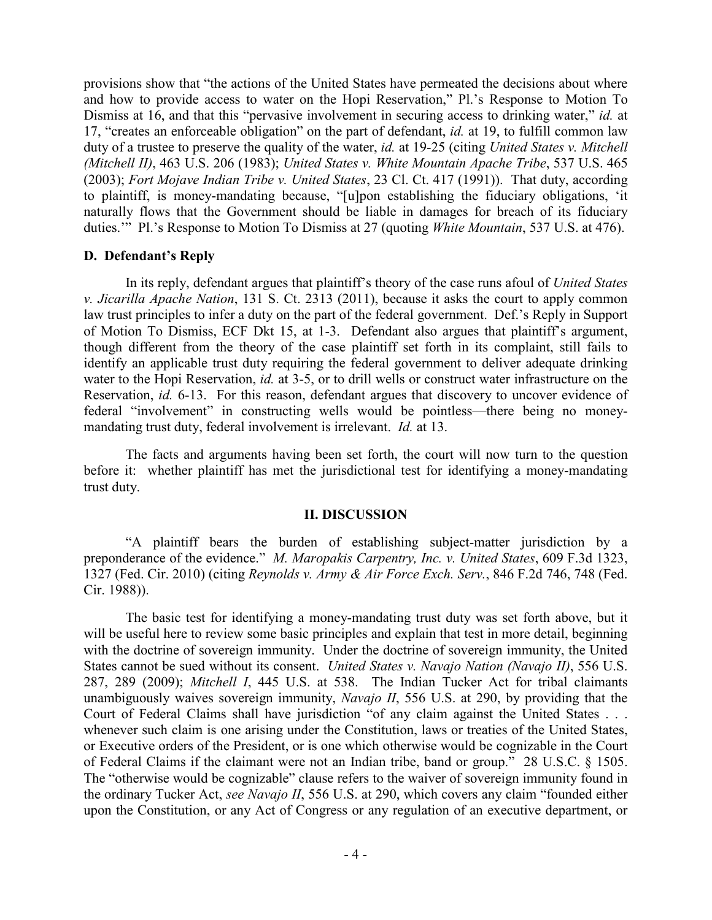provisions show that "the actions of the United States have permeated the decisions about where and how to provide access to water on the Hopi Reservation," Pl.'s Response to Motion To Dismiss at 16, and that this "pervasive involvement in securing access to drinking water," *id.* at 17, "creates an enforceable obligation" on the part of defendant, *id.* at 19, to fulfill common law duty of a trustee to preserve the quality of the water, *id.* at 19-25 (citing *United States v. Mitchell (Mitchell II)*, 463 U.S. 206 (1983); *United States v. White Mountain Apache Tribe*, 537 U.S. 465 (2003); *Fort Mojave Indian Tribe v. United States*, 23 Cl. Ct. 417 (1991)). That duty, according to plaintiff, is money-mandating because, "[u]pon establishing the fiduciary obligations, 'it naturally flows that the Government should be liable in damages for breach of its fiduciary duties.'" Pl.'s Response to Motion To Dismiss at 27 (quoting *White Mountain*, 537 U.S. at 476).

# **D. Defendant's Reply**

In its reply, defendant argues that plaintiff's theory of the case runs afoul of *United States v. Jicarilla Apache Nation*, 131 S. Ct. 2313 (2011), because it asks the court to apply common law trust principles to infer a duty on the part of the federal government. Def.'s Reply in Support of Motion To Dismiss, ECF Dkt 15, at 1-3. Defendant also argues that plaintiff's argument, though different from the theory of the case plaintiff set forth in its complaint, still fails to identify an applicable trust duty requiring the federal government to deliver adequate drinking water to the Hopi Reservation, *id.* at 3-5, or to drill wells or construct water infrastructure on the Reservation, *id.* 6-13. For this reason, defendant argues that discovery to uncover evidence of federal "involvement" in constructing wells would be pointless—there being no moneymandating trust duty, federal involvement is irrelevant. *Id.* at 13.

The facts and arguments having been set forth, the court will now turn to the question before it: whether plaintiff has met the jurisdictional test for identifying a money-mandating trust duty.

### **II. DISCUSSION**

"A plaintiff bears the burden of establishing subject-matter jurisdiction by a preponderance of the evidence." *M. Maropakis Carpentry, Inc. v. United States*, 609 F.3d 1323, 1327 (Fed. Cir. 2010) (citing *Reynolds v. Army & Air Force Exch. Serv.*, 846 F.2d 746, 748 (Fed. Cir. 1988)).

The basic test for identifying a money-mandating trust duty was set forth above, but it will be useful here to review some basic principles and explain that test in more detail, beginning with the doctrine of sovereign immunity. Under the doctrine of sovereign immunity, the United States cannot be sued without its consent. *United States v. Navajo Nation (Navajo II)*, 556 U.S. 287, 289 (2009); *Mitchell I*, 445 U.S. at 538. The Indian Tucker Act for tribal claimants unambiguously waives sovereign immunity, *Navajo II*, 556 U.S. at 290, by providing that the Court of Federal Claims shall have jurisdiction "of any claim against the United States . . . whenever such claim is one arising under the Constitution, laws or treaties of the United States, or Executive orders of the President, or is one which otherwise would be cognizable in the Court of Federal Claims if the claimant were not an Indian tribe, band or group." 28 U.S.C. § 1505. The "otherwise would be cognizable" clause refers to the waiver of sovereign immunity found in the ordinary Tucker Act, *see Navajo II*, 556 U.S. at 290, which covers any claim "founded either upon the Constitution, or any Act of Congress or any regulation of an executive department, or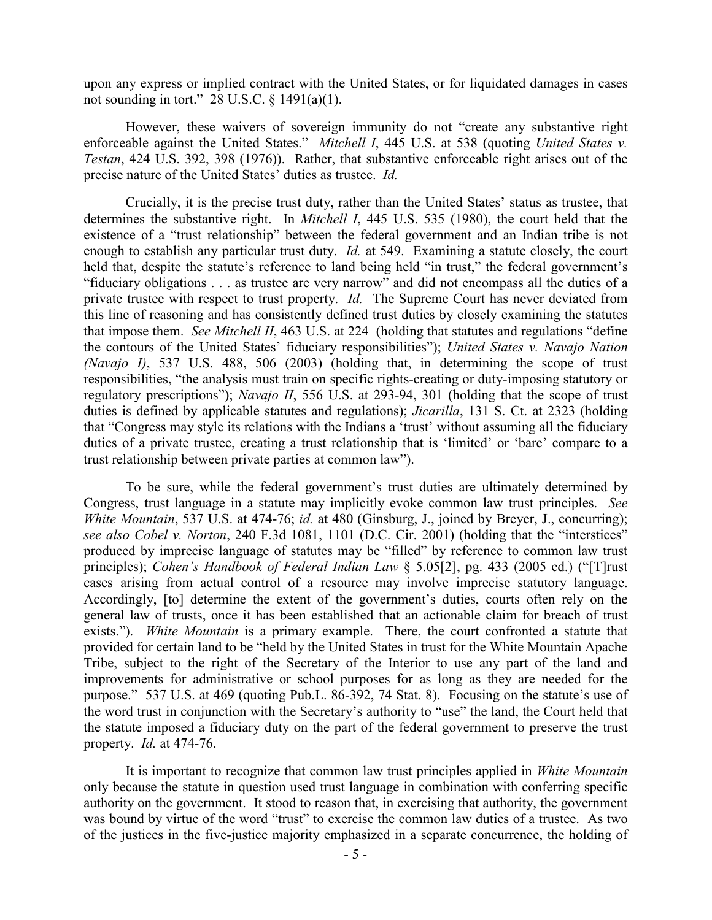upon any express or implied contract with the United States, or for liquidated damages in cases not sounding in tort." 28 U.S.C. § 1491(a)(1).

However, these waivers of sovereign immunity do not "create any substantive right enforceable against the United States." *Mitchell I*, 445 U.S. at 538 (quoting *United States v. Testan*, 424 U.S. 392, 398 (1976)). Rather, that substantive enforceable right arises out of the precise nature of the United States' duties as trustee. *Id.*

Crucially, it is the precise trust duty, rather than the United States' status as trustee, that determines the substantive right. In *Mitchell I*, 445 U.S. 535 (1980), the court held that the existence of a "trust relationship" between the federal government and an Indian tribe is not enough to establish any particular trust duty. *Id.* at 549. Examining a statute closely, the court held that, despite the statute's reference to land being held "in trust," the federal government's "fiduciary obligations . . . as trustee are very narrow" and did not encompass all the duties of a private trustee with respect to trust property. *Id.* The Supreme Court has never deviated from this line of reasoning and has consistently defined trust duties by closely examining the statutes that impose them. *See Mitchell II*, 463 U.S. at 224 (holding that statutes and regulations "define the contours of the United States' fiduciary responsibilities"); *United States v. Navajo Nation (Navajo I)*, 537 U.S. 488, 506 (2003) (holding that, in determining the scope of trust responsibilities, "the analysis must train on specific rights-creating or duty-imposing statutory or regulatory prescriptions"); *Navajo II*, 556 U.S. at 293-94, 301 (holding that the scope of trust duties is defined by applicable statutes and regulations); *Jicarilla*, 131 S. Ct. at 2323 (holding that "Congress may style its relations with the Indians a 'trust' without assuming all the fiduciary duties of a private trustee, creating a trust relationship that is 'limited' or 'bare' compare to a trust relationship between private parties at common law").

To be sure, while the federal government's trust duties are ultimately determined by Congress, trust language in a statute may implicitly evoke common law trust principles. *See White Mountain*, 537 U.S. at 474-76; *id.* at 480 (Ginsburg, J., joined by Breyer, J., concurring); *see also Cobel v. Norton*, 240 F.3d 1081, 1101 (D.C. Cir. 2001) (holding that the "interstices" produced by imprecise language of statutes may be "filled" by reference to common law trust principles); *Cohen's Handbook of Federal Indian Law* § 5.05[2], pg. 433 (2005 ed.) ("[T]rust cases arising from actual control of a resource may involve imprecise statutory language. Accordingly, [to] determine the extent of the government's duties, courts often rely on the general law of trusts, once it has been established that an actionable claim for breach of trust exists."). *White Mountain* is a primary example. There, the court confronted a statute that provided for certain land to be "held by the United States in trust for the White Mountain Apache Tribe, subject to the right of the Secretary of the Interior to use any part of the land and improvements for administrative or school purposes for as long as they are needed for the purpose." 537 U.S. at 469 (quoting Pub.L. 86-392, 74 Stat. 8). Focusing on the statute's use of the word trust in conjunction with the Secretary's authority to "use" the land, the Court held that the statute imposed a fiduciary duty on the part of the federal government to preserve the trust property. *Id.* at 474-76.

It is important to recognize that common law trust principles applied in *White Mountain* only because the statute in question used trust language in combination with conferring specific authority on the government. It stood to reason that, in exercising that authority, the government was bound by virtue of the word "trust" to exercise the common law duties of a trustee. As two of the justices in the five-justice majority emphasized in a separate concurrence, the holding of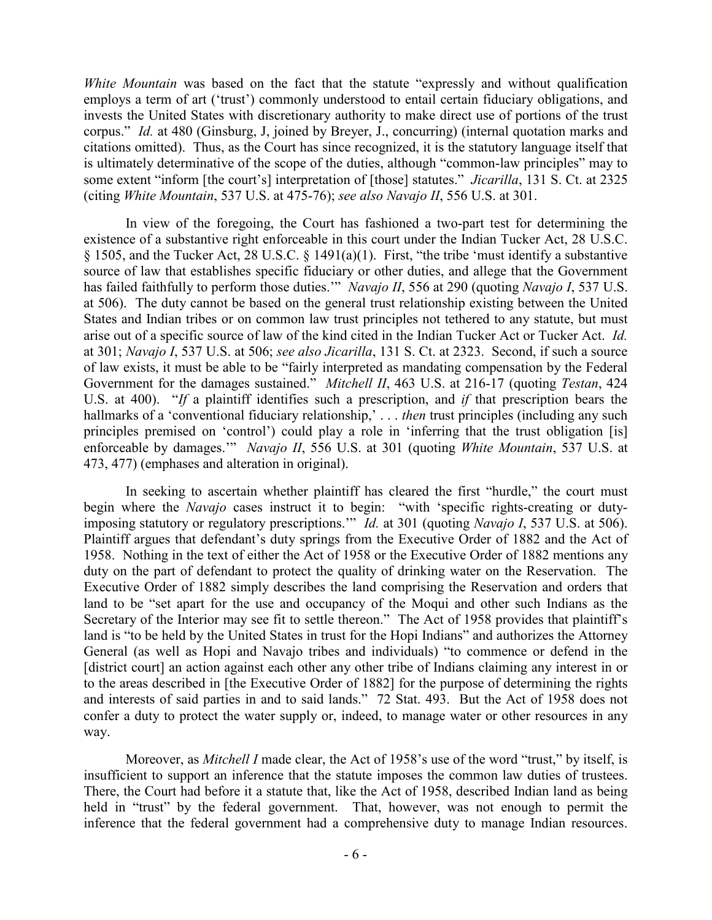*White Mountain* was based on the fact that the statute "expressly and without qualification employs a term of art ('trust') commonly understood to entail certain fiduciary obligations, and invests the United States with discretionary authority to make direct use of portions of the trust corpus." *Id.* at 480 (Ginsburg, J, joined by Breyer, J., concurring) (internal quotation marks and citations omitted). Thus, as the Court has since recognized, it is the statutory language itself that is ultimately determinative of the scope of the duties, although "common-law principles" may to some extent "inform [the court's] interpretation of [those] statutes." *Jicarilla*, 131 S. Ct. at 2325 (citing *White Mountain*, 537 U.S. at 475-76); *see also Navajo II*, 556 U.S. at 301.

In view of the foregoing, the Court has fashioned a two-part test for determining the existence of a substantive right enforceable in this court under the Indian Tucker Act, 28 U.S.C. § 1505, and the Tucker Act, 28 U.S.C. § 1491(a)(1). First, "the tribe 'must identify a substantive source of law that establishes specific fiduciary or other duties, and allege that the Government has failed faithfully to perform those duties.'" *Navajo II*, 556 at 290 (quoting *Navajo I*, 537 U.S. at 506). The duty cannot be based on the general trust relationship existing between the United States and Indian tribes or on common law trust principles not tethered to any statute, but must arise out of a specific source of law of the kind cited in the Indian Tucker Act or Tucker Act. *Id.* at 301; *Navajo I*, 537 U.S. at 506; *see also Jicarilla*, 131 S. Ct. at 2323. Second, if such a source of law exists, it must be able to be "fairly interpreted as mandating compensation by the Federal Government for the damages sustained." *Mitchell II*, 463 U.S. at 216-17 (quoting *Testan*, 424 U.S. at 400). "*If* a plaintiff identifies such a prescription, and *if* that prescription bears the hallmarks of a 'conventional fiduciary relationship,' . . . *then* trust principles (including any such principles premised on 'control') could play a role in 'inferring that the trust obligation [is] enforceable by damages.'" *Navajo II*, 556 U.S. at 301 (quoting *White Mountain*, 537 U.S. at 473, 477) (emphases and alteration in original).

In seeking to ascertain whether plaintiff has cleared the first "hurdle," the court must begin where the *Navajo* cases instruct it to begin: "with 'specific rights-creating or dutyimposing statutory or regulatory prescriptions.'" *Id.* at 301 (quoting *Navajo I*, 537 U.S. at 506). Plaintiff argues that defendant's duty springs from the Executive Order of 1882 and the Act of 1958. Nothing in the text of either the Act of 1958 or the Executive Order of 1882 mentions any duty on the part of defendant to protect the quality of drinking water on the Reservation. The Executive Order of 1882 simply describes the land comprising the Reservation and orders that land to be "set apart for the use and occupancy of the Moqui and other such Indians as the Secretary of the Interior may see fit to settle thereon." The Act of 1958 provides that plaintiff's land is "to be held by the United States in trust for the Hopi Indians" and authorizes the Attorney General (as well as Hopi and Navajo tribes and individuals) "to commence or defend in the [district court] an action against each other any other tribe of Indians claiming any interest in or to the areas described in [the Executive Order of 1882] for the purpose of determining the rights and interests of said parties in and to said lands." 72 Stat. 493. But the Act of 1958 does not confer a duty to protect the water supply or, indeed, to manage water or other resources in any way.

Moreover, as *Mitchell I* made clear, the Act of 1958's use of the word "trust," by itself, is insufficient to support an inference that the statute imposes the common law duties of trustees. There, the Court had before it a statute that, like the Act of 1958, described Indian land as being held in "trust" by the federal government. That, however, was not enough to permit the inference that the federal government had a comprehensive duty to manage Indian resources.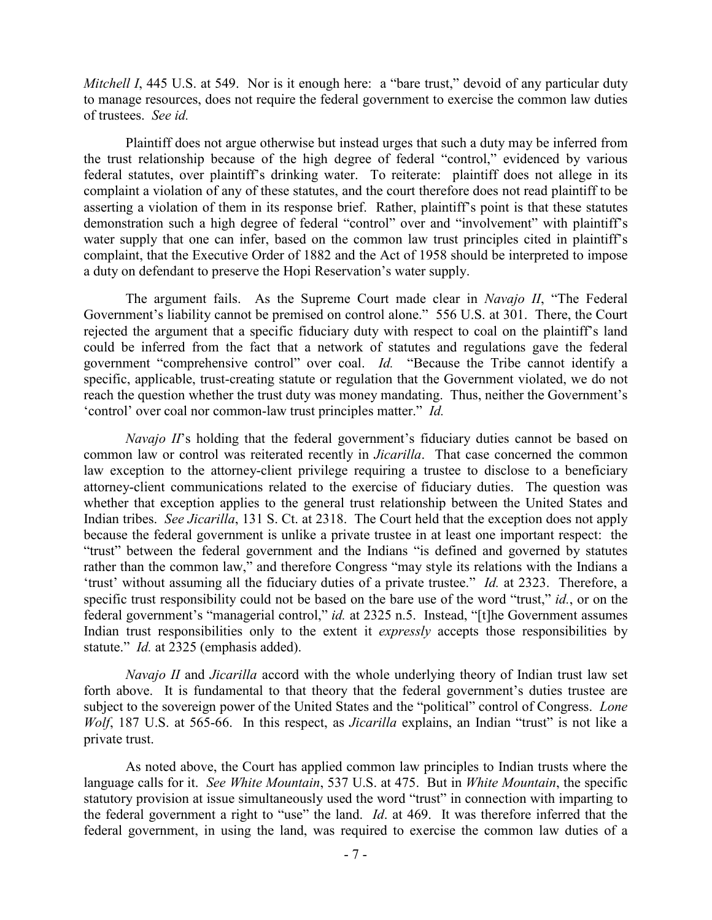*Mitchell I*, 445 U.S. at 549. Nor is it enough here: a "bare trust," devoid of any particular duty to manage resources, does not require the federal government to exercise the common law duties of trustees. *See id.*

Plaintiff does not argue otherwise but instead urges that such a duty may be inferred from the trust relationship because of the high degree of federal "control," evidenced by various federal statutes, over plaintiff's drinking water. To reiterate: plaintiff does not allege in its complaint a violation of any of these statutes, and the court therefore does not read plaintiff to be asserting a violation of them in its response brief. Rather, plaintiff's point is that these statutes demonstration such a high degree of federal "control" over and "involvement" with plaintiff's water supply that one can infer, based on the common law trust principles cited in plaintiff's complaint, that the Executive Order of 1882 and the Act of 1958 should be interpreted to impose a duty on defendant to preserve the Hopi Reservation's water supply.

The argument fails. As the Supreme Court made clear in *Navajo II*, "The Federal Government's liability cannot be premised on control alone." 556 U.S. at 301. There, the Court rejected the argument that a specific fiduciary duty with respect to coal on the plaintiff's land could be inferred from the fact that a network of statutes and regulations gave the federal government "comprehensive control" over coal. *Id.* "Because the Tribe cannot identify a specific, applicable, trust-creating statute or regulation that the Government violated, we do not reach the question whether the trust duty was money mandating. Thus, neither the Government's 'control' over coal nor common-law trust principles matter." *Id.*

*Navajo II*'s holding that the federal government's fiduciary duties cannot be based on common law or control was reiterated recently in *Jicarilla*. That case concerned the common law exception to the attorney-client privilege requiring a trustee to disclose to a beneficiary attorney-client communications related to the exercise of fiduciary duties. The question was whether that exception applies to the general trust relationship between the United States and Indian tribes. *See Jicarilla*, 131 S. Ct. at 2318. The Court held that the exception does not apply because the federal government is unlike a private trustee in at least one important respect: the "trust" between the federal government and the Indians "is defined and governed by statutes rather than the common law," and therefore Congress "may style its relations with the Indians a 'trust' without assuming all the fiduciary duties of a private trustee." *Id.* at 2323. Therefore, a specific trust responsibility could not be based on the bare use of the word "trust," *id.*, or on the federal government's "managerial control," *id.* at 2325 n.5. Instead, "[t]he Government assumes Indian trust responsibilities only to the extent it *expressly* accepts those responsibilities by statute." *Id.* at 2325 (emphasis added).

*Navajo II* and *Jicarilla* accord with the whole underlying theory of Indian trust law set forth above. It is fundamental to that theory that the federal government's duties trustee are subject to the sovereign power of the United States and the "political" control of Congress. *Lone Wolf*, 187 U.S. at 565-66. In this respect, as *Jicarilla* explains, an Indian "trust" is not like a private trust.

As noted above, the Court has applied common law principles to Indian trusts where the language calls for it. *See White Mountain*, 537 U.S. at 475. But in *White Mountain*, the specific statutory provision at issue simultaneously used the word "trust" in connection with imparting to the federal government a right to "use" the land. *Id*. at 469. It was therefore inferred that the federal government, in using the land, was required to exercise the common law duties of a